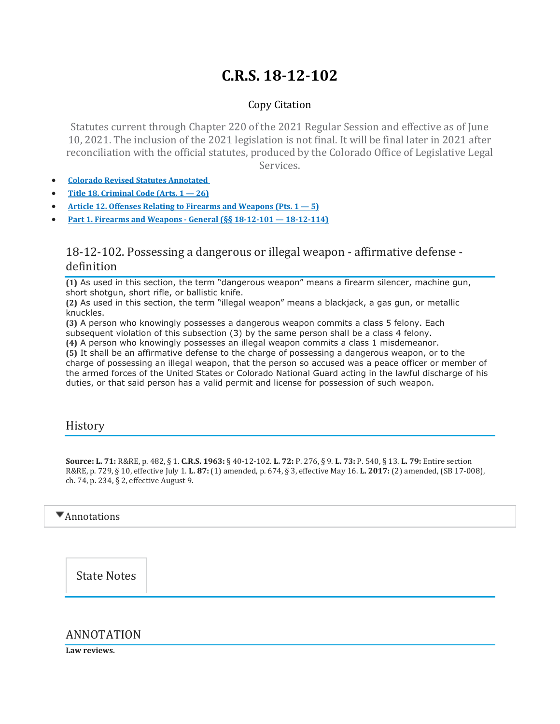# **C.R.S. 18-12-102**

## Copy Citation

Statutes current through Chapter 220 of the 2021 Regular Session and effective as of June 10, 2021. The inclusion of the 2021 legislation is not final. It will be final later in 2021 after reconciliation with the official statutes, produced by the Colorado Office of Legislative Legal Services.

- **Colorado Revised Statutes [Annotated](https://advance.lexis.com/documentpage/?pdmfid=1000516&crid=4d9e6dac-a44f-4f20-8b99-e71625d75ffe&nodeid=AASAAWAABAAC&nodepath=%2FROOT%2FAAS%2FAASAAW%2FAASAAWAAB%2FAASAAWAABAAC&level=4&haschildren=&populated=false&title=18-12-102.+Possessing+a+dangerous+or+illegal+weapon+-+affirmative+defense+-+definition&config=014FJAAyNGJkY2Y4Zi1mNjgyLTRkN2YtYmE4OS03NTYzNzYzOTg0OGEKAFBvZENhdGFsb2d592qv2Kywlf8caKqYROP5&pddocfullpath=%2Fshared%2Fdocument%2Fstatutes-legislation%2Furn%3AcontentItem%3A61P5-WSW1-DYDC-J3C4-00008-00&ecomp=L38_9kk&prid=c2b0f1ee-7117-4c3e-b34f-2214b86f7d6c)**
- **Title 18. [Criminal](https://advance.lexis.com/documentpage/?pdmfid=1000516&crid=4d9e6dac-a44f-4f20-8b99-e71625d75ffe&nodeid=AASAAWAABAAC&nodepath=%2FROOT%2FAAS%2FAASAAW%2FAASAAWAAB%2FAASAAWAABAAC&level=4&haschildren=&populated=false&title=18-12-102.+Possessing+a+dangerous+or+illegal+weapon+-+affirmative+defense+-+definition&config=014FJAAyNGJkY2Y4Zi1mNjgyLTRkN2YtYmE4OS03NTYzNzYzOTg0OGEKAFBvZENhdGFsb2d592qv2Kywlf8caKqYROP5&pddocfullpath=%2Fshared%2Fdocument%2Fstatutes-legislation%2Furn%3AcontentItem%3A61P5-WSW1-DYDC-J3C4-00008-00&ecomp=L38_9kk&prid=c2b0f1ee-7117-4c3e-b34f-2214b86f7d6c) Code (Arts. 1 — 26)**
- **Article 12. Offenses Relating to Firearms and [Weapons](https://advance.lexis.com/documentpage/?pdmfid=1000516&crid=4d9e6dac-a44f-4f20-8b99-e71625d75ffe&nodeid=AASAAWAABAAC&nodepath=%2FROOT%2FAAS%2FAASAAW%2FAASAAWAAB%2FAASAAWAABAAC&level=4&haschildren=&populated=false&title=18-12-102.+Possessing+a+dangerous+or+illegal+weapon+-+affirmative+defense+-+definition&config=014FJAAyNGJkY2Y4Zi1mNjgyLTRkN2YtYmE4OS03NTYzNzYzOTg0OGEKAFBvZENhdGFsb2d592qv2Kywlf8caKqYROP5&pddocfullpath=%2Fshared%2Fdocument%2Fstatutes-legislation%2Furn%3AcontentItem%3A61P5-WSW1-DYDC-J3C4-00008-00&ecomp=L38_9kk&prid=c2b0f1ee-7117-4c3e-b34f-2214b86f7d6c) (Pts. 1 — 5)**
- **Part 1. Firearms and Weapons - General (§§ 18-12-101 — [18-12-114\)](https://advance.lexis.com/documentpage/?pdmfid=1000516&crid=4d9e6dac-a44f-4f20-8b99-e71625d75ffe&nodeid=AASAAWAABAAC&nodepath=%2FROOT%2FAAS%2FAASAAW%2FAASAAWAAB%2FAASAAWAABAAC&level=4&haschildren=&populated=false&title=18-12-102.+Possessing+a+dangerous+or+illegal+weapon+-+affirmative+defense+-+definition&config=014FJAAyNGJkY2Y4Zi1mNjgyLTRkN2YtYmE4OS03NTYzNzYzOTg0OGEKAFBvZENhdGFsb2d592qv2Kywlf8caKqYROP5&pddocfullpath=%2Fshared%2Fdocument%2Fstatutes-legislation%2Furn%3AcontentItem%3A61P5-WSW1-DYDC-J3C4-00008-00&ecomp=L38_9kk&prid=c2b0f1ee-7117-4c3e-b34f-2214b86f7d6c)**

## 18-12-102. Possessing a dangerous or illegal weapon - affirmative defense definition

**(1)** As used in this section, the term "dangerous weapon" means a firearm silencer, machine gun, short shotgun, short rifle, or ballistic knife.

**(2)** As used in this section, the term "illegal weapon" means a blackjack, a gas gun, or metallic knuckles.

**(3)** A person who knowingly possesses a dangerous weapon commits a class 5 felony. Each subsequent violation of this subsection (3) by the same person shall be a class 4 felony.

**(4)** A person who knowingly possesses an illegal weapon commits a class 1 misdemeanor. **(5)** It shall be an affirmative defense to the charge of possessing a dangerous weapon, or to the charge of possessing an illegal weapon, that the person so accused was a peace officer or member of the armed forces of the United States or Colorado National Guard acting in the lawful discharge of his duties, or that said person has a valid permit and license for possession of such weapon.

## History

**Source: L. 71:** R&RE, p. 482, § 1. **C.R.S. 1963:** § 40-12-102. **L. 72:** P. 276, § 9. **L. 73:** P. 540, § 13. **L. 79:** Entire section R&RE, p. 729, § 10, effective July 1. **L. 87:** (1) amended, p. 674, § 3, effective May 16. **L. 2017:** (2) amended, (SB 17-008), ch. 74, p. 234, § 2, effective August 9.

### $\nabla$  Annotations

State Notes

## ANNOTATION

**Law reviews.**